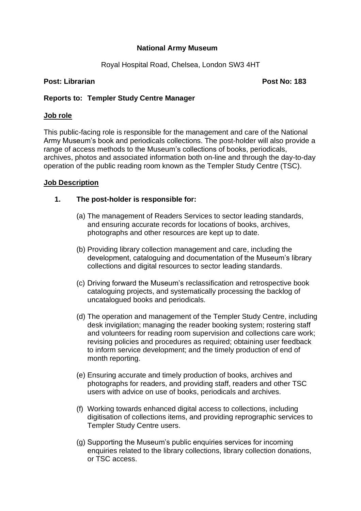### **National Army Museum**

### Royal Hospital Road, Chelsea, London SW3 4HT

#### **Post: Librarian Post No: 183**

## **Reports to: Templer Study Centre Manager**

#### **Job role**

This public-facing role is responsible for the management and care of the National Army Museum's book and periodicals collections. The post-holder will also provide a range of access methods to the Museum's collections of books, periodicals, archives, photos and associated information both on-line and through the day-to-day operation of the public reading room known as the Templer Study Centre (TSC).

#### **Job Description**

## **1. The post-holder is responsible for:**

- (a) The management of Readers Services to sector leading standards, and ensuring accurate records for locations of books, archives, photographs and other resources are kept up to date.
- (b) Providing library collection management and care, including the development, cataloguing and documentation of the Museum's library collections and digital resources to sector leading standards.
- (c) Driving forward the Museum's reclassification and retrospective book cataloguing projects, and systematically processing the backlog of uncatalogued books and periodicals.
- (d) The operation and management of the Templer Study Centre, including desk invigilation; managing the reader booking system; rostering staff and volunteers for reading room supervision and collections care work; revising policies and procedures as required; obtaining user feedback to inform service development; and the timely production of end of month reporting.
- (e) Ensuring accurate and timely production of books, archives and photographs for readers, and providing staff, readers and other TSC users with advice on use of books, periodicals and archives.
- (f) Working towards enhanced digital access to collections, including digitisation of collections items, and providing reprographic services to Templer Study Centre users.
- (g) Supporting the Museum's public enquiries services for incoming enquiries related to the library collections, library collection donations, or TSC access.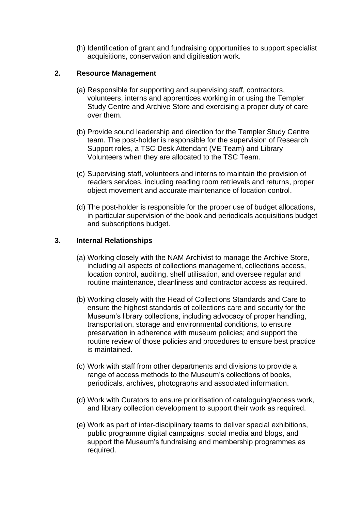(h) Identification of grant and fundraising opportunities to support specialist acquisitions, conservation and digitisation work.

## **2. Resource Management**

- (a) Responsible for supporting and supervising staff, contractors, volunteers, interns and apprentices working in or using the Templer Study Centre and Archive Store and exercising a proper duty of care over them.
- (b) Provide sound leadership and direction for the Templer Study Centre team. The post-holder is responsible for the supervision of Research Support roles, a TSC Desk Attendant (VE Team) and Library Volunteers when they are allocated to the TSC Team.
- (c) Supervising staff, volunteers and interns to maintain the provision of readers services, including reading room retrievals and returns, proper object movement and accurate maintenance of location control.
- (d) The post-holder is responsible for the proper use of budget allocations, in particular supervision of the book and periodicals acquisitions budget and subscriptions budget.

## **3. Internal Relationships**

- (a) Working closely with the NAM Archivist to manage the Archive Store, including all aspects of collections management, collections access, location control, auditing, shelf utilisation, and oversee regular and routine maintenance, cleanliness and contractor access as required.
- (b) Working closely with the Head of Collections Standards and Care to ensure the highest standards of collections care and security for the Museum's library collections, including advocacy of proper handling, transportation, storage and environmental conditions, to ensure preservation in adherence with museum policies; and support the routine review of those policies and procedures to ensure best practice is maintained.
- (c) Work with staff from other departments and divisions to provide a range of access methods to the Museum's collections of books, periodicals, archives, photographs and associated information.
- (d) Work with Curators to ensure prioritisation of cataloguing/access work, and library collection development to support their work as required.
- (e) Work as part of inter-disciplinary teams to deliver special exhibitions, public programme digital campaigns, social media and blogs, and support the Museum's fundraising and membership programmes as required.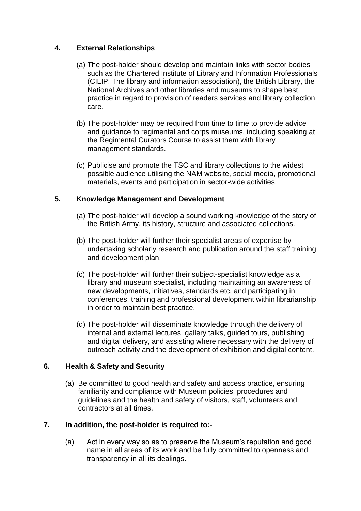# **4. External Relationships**

- (a) The post-holder should develop and maintain links with sector bodies such as the Chartered Institute of Library and Information Professionals (CILIP: The library and information association), the British Library, the National Archives and other libraries and museums to shape best practice in regard to provision of readers services and library collection care.
- (b) The post-holder may be required from time to time to provide advice and guidance to regimental and corps museums, including speaking at the Regimental Curators Course to assist them with library management standards.
- (c) Publicise and promote the TSC and library collections to the widest possible audience utilising the NAM website, social media, promotional materials, events and participation in sector-wide activities.

## **5. Knowledge Management and Development**

- (a) The post-holder will develop a sound working knowledge of the story of the British Army, its history, structure and associated collections.
- (b) The post-holder will further their specialist areas of expertise by undertaking scholarly research and publication around the staff training and development plan.
- (c) The post-holder will further their subject-specialist knowledge as a library and museum specialist, including maintaining an awareness of new developments, initiatives, standards etc, and participating in conferences, training and professional development within librarianship in order to maintain best practice.
- (d) The post-holder will disseminate knowledge through the delivery of internal and external lectures, gallery talks, guided tours, publishing and digital delivery, and assisting where necessary with the delivery of outreach activity and the development of exhibition and digital content.

## **6. Health & Safety and Security**

(a) Be committed to good health and safety and access practice, ensuring familiarity and compliance with Museum policies, procedures and guidelines and the health and safety of visitors, staff, volunteers and contractors at all times.

## **7. In addition, the post-holder is required to:-**

(a) Act in every way so as to preserve the Museum's reputation and good name in all areas of its work and be fully committed to openness and transparency in all its dealings.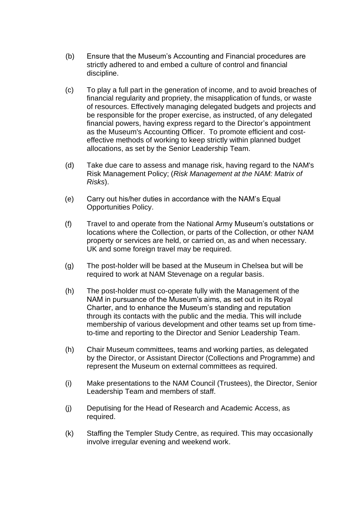- (b) Ensure that the Museum's Accounting and Financial procedures are strictly adhered to and embed a culture of control and financial discipline.
- (c) To play a full part in the generation of income, and to avoid breaches of financial regularity and propriety, the misapplication of funds, or waste of resources. Effectively managing delegated budgets and projects and be responsible for the proper exercise, as instructed, of any delegated financial powers, having express regard to the Director's appointment as the Museum's Accounting Officer. To promote efficient and costeffective methods of working to keep strictly within planned budget allocations, as set by the Senior Leadership Team.
- (d) Take due care to assess and manage risk, having regard to the NAM's Risk Management Policy; (*Risk Management at the NAM: Matrix of Risks*).
- (e) Carry out his/her duties in accordance with the NAM's Equal Opportunities Policy.
- (f) Travel to and operate from the National Army Museum's outstations or locations where the Collection, or parts of the Collection, or other NAM property or services are held, or carried on, as and when necessary. UK and some foreign travel may be required.
- (g) The post-holder will be based at the Museum in Chelsea but will be required to work at NAM Stevenage on a regular basis.
- (h) The post-holder must co-operate fully with the Management of the NAM in pursuance of the Museum's aims, as set out in its Royal Charter, and to enhance the Museum's standing and reputation through its contacts with the public and the media. This will include membership of various development and other teams set up from timeto-time and reporting to the Director and Senior Leadership Team.
- (h) Chair Museum committees, teams and working parties, as delegated by the Director, or Assistant Director (Collections and Programme) and represent the Museum on external committees as required.
- (i) Make presentations to the NAM Council (Trustees), the Director, Senior Leadership Team and members of staff.
- (j) Deputising for the Head of Research and Academic Access, as required.
- (k) Staffing the Templer Study Centre, as required. This may occasionally involve irregular evening and weekend work.